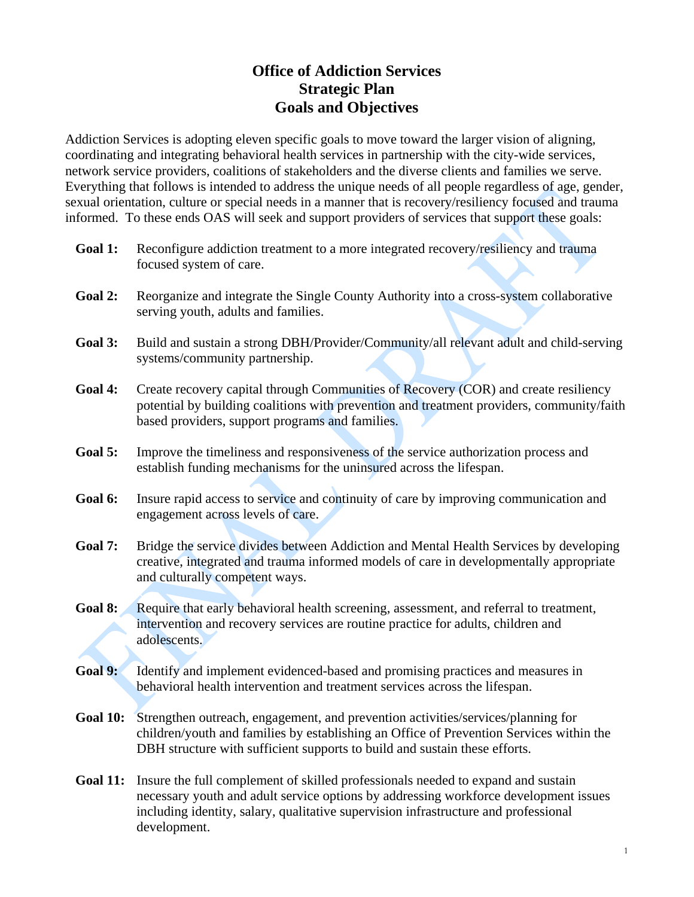# **Office of Addiction Services Strategic Plan Goals and Objectives**

Addiction Services is adopting eleven specific goals to move toward the larger vision of aligning, coordinating and integrating behavioral health services in partnership with the city-wide services, network service providers, coalitions of stakeholders and the diverse clients and families we serve. Everything that follows is intended to address the unique needs of all people regardless of age, gender, sexual orientation, culture or special needs in a manner that is recovery/resiliency focused and trauma informed. To these ends OAS will seek and support providers of services that support these goals:

- Goal 1: Reconfigure addiction treatment to a more integrated recovery/resiliency and trauma focused system of care.
- **Goal 2:** Reorganize and integrate the Single County Authority into a cross-system collaborative serving youth, adults and families.
- **Goal 3:** Build and sustain a strong DBH/Provider/Community/all relevant adult and child-serving systems/community partnership.
- Goal 4: Create recovery capital through Communities of Recovery (COR) and create resiliency potential by building coalitions with prevention and treatment providers, community/faith based providers, support programs and families.
- **Goal 5:** Improve the timeliness and responsiveness of the service authorization process and establish funding mechanisms for the uninsured across the lifespan.
- **Goal 6:** Insure rapid access to service and continuity of care by improving communication and engagement across levels of care.
- **Goal 7:** Bridge the service divides between Addiction and Mental Health Services by developing creative, integrated and trauma informed models of care in developmentally appropriate and culturally competent ways.
- Goal 8: Require that early behavioral health screening, assessment, and referral to treatment, intervention and recovery services are routine practice for adults, children and adolescents.
- **Goal 9:** Identify and implement evidenced-based and promising practices and measures in behavioral health intervention and treatment services across the lifespan.
- **Goal 10:** Strengthen outreach, engagement, and prevention activities/services/planning for children/youth and families by establishing an Office of Prevention Services within the DBH structure with sufficient supports to build and sustain these efforts.
- **Goal 11:** Insure the full complement of skilled professionals needed to expand and sustain necessary youth and adult service options by addressing workforce development issues including identity, salary, qualitative supervision infrastructure and professional development.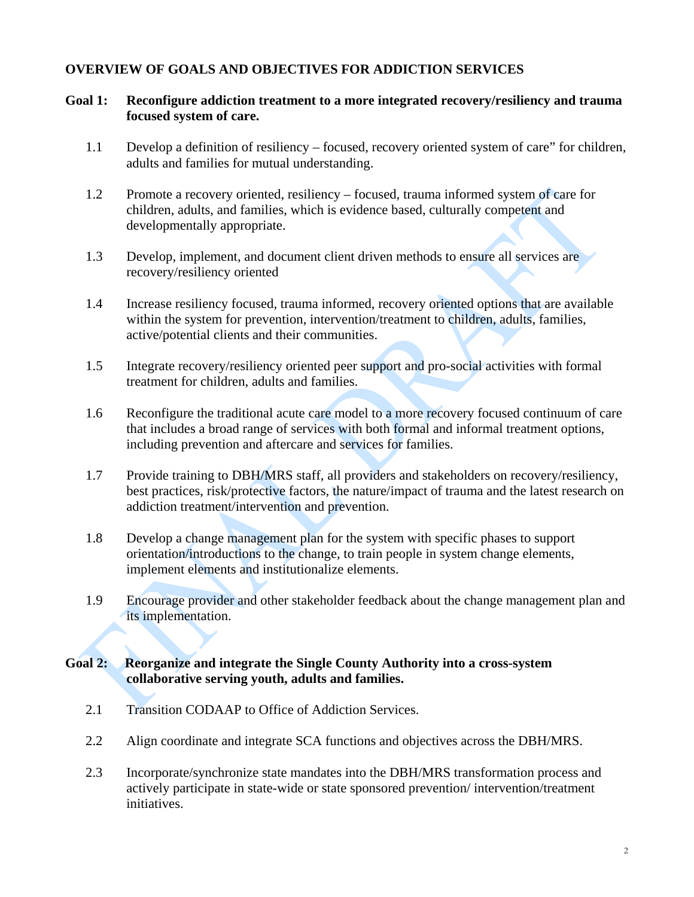### **OVERVIEW OF GOALS AND OBJECTIVES FOR ADDICTION SERVICES**

### **Goal 1: Reconfigure addiction treatment to a more integrated recovery/resiliency and trauma focused system of care.**

- 1.1 Develop a definition of resiliency focused, recovery oriented system of care" for children, adults and families for mutual understanding.
- 1.2 Promote a recovery oriented, resiliency focused, trauma informed system of care for children, adults, and families, which is evidence based, culturally competent and developmentally appropriate.
- 1.3 Develop, implement, and document client driven methods to ensure all services are recovery/resiliency oriented
- 1.4 Increase resiliency focused, trauma informed, recovery oriented options that are available within the system for prevention, intervention/treatment to children, adults, families, active/potential clients and their communities.
- 1.5 Integrate recovery/resiliency oriented peer support and pro-social activities with formal treatment for children, adults and families.
- 1.6 Reconfigure the traditional acute care model to a more recovery focused continuum of care that includes a broad range of services with both formal and informal treatment options, including prevention and aftercare and services for families.
- 1.7 Provide training to DBH/MRS staff, all providers and stakeholders on recovery/resiliency, best practices, risk/protective factors, the nature/impact of trauma and the latest research on addiction treatment/intervention and prevention.
- 1.8 Develop a change management plan for the system with specific phases to support orientation/introductions to the change, to train people in system change elements, implement elements and institutionalize elements.
- 1.9 Encourage provider and other stakeholder feedback about the change management plan and its implementation.

### **Goal 2: Reorganize and integrate the Single County Authority into a cross-system collaborative serving youth, adults and families.**

- 2.1 Transition CODAAP to Office of Addiction Services.
- 2.2 Align coordinate and integrate SCA functions and objectives across the DBH/MRS.
- 2.3 Incorporate/synchronize state mandates into the DBH/MRS transformation process and actively participate in state-wide or state sponsored prevention/ intervention/treatment initiatives.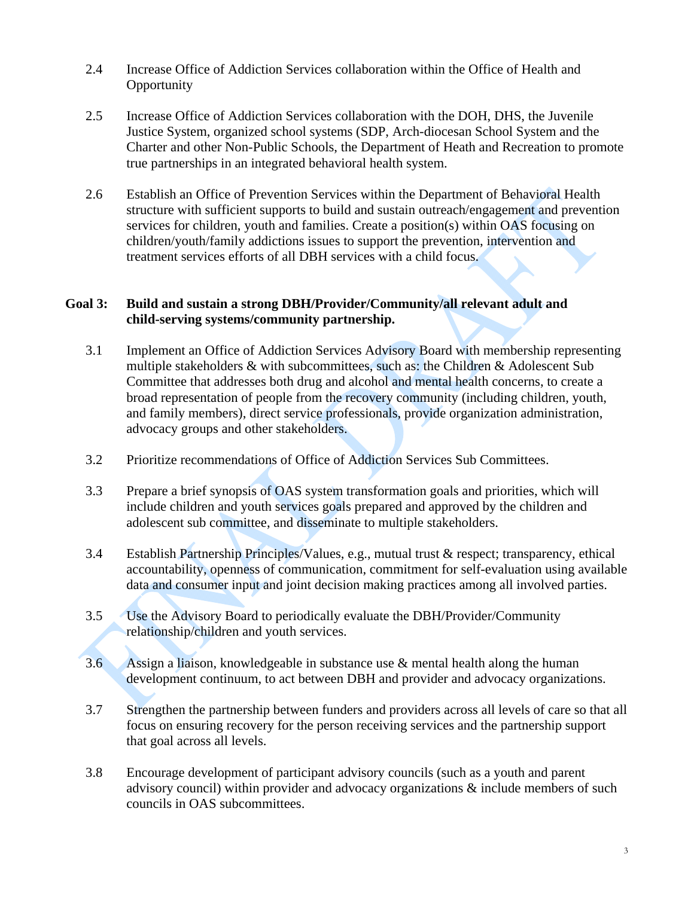- 2.4 Increase Office of Addiction Services collaboration within the Office of Health and **Opportunity**
- 2.5 Increase Office of Addiction Services collaboration with the DOH, DHS, the Juvenile Justice System, organized school systems (SDP, Arch-diocesan School System and the Charter and other Non-Public Schools, the Department of Heath and Recreation to promote true partnerships in an integrated behavioral health system.
- 2.6 Establish an Office of Prevention Services within the Department of Behavioral Health structure with sufficient supports to build and sustain outreach/engagement and prevention services for children, youth and families. Create a position(s) within OAS focusing on children/youth/family addictions issues to support the prevention, intervention and treatment services efforts of all DBH services with a child focus.

### **Goal 3: Build and sustain a strong DBH/Provider/Community/all relevant adult and child-serving systems/community partnership.**

- 3.1 Implement an Office of Addiction Services Advisory Board with membership representing multiple stakeholders & with subcommittees, such as: the Children & Adolescent Sub Committee that addresses both drug and alcohol and mental health concerns, to create a broad representation of people from the recovery community (including children, youth, and family members), direct service professionals, provide organization administration, advocacy groups and other stakeholders.
- 3.2 Prioritize recommendations of Office of Addiction Services Sub Committees.
- 3.3 Prepare a brief synopsis of OAS system transformation goals and priorities, which will include children and youth services goals prepared and approved by the children and adolescent sub committee, and disseminate to multiple stakeholders.
- 3.4 Establish Partnership Principles/Values, e.g., mutual trust & respect; transparency, ethical accountability, openness of communication, commitment for self-evaluation using available data and consumer input and joint decision making practices among all involved parties.
- 3.5 Use the Advisory Board to periodically evaluate the DBH/Provider/Community relationship/children and youth services.
- 3.6 Assign a liaison, knowledgeable in substance use & mental health along the human development continuum, to act between DBH and provider and advocacy organizations.
- 3.7 Strengthen the partnership between funders and providers across all levels of care so that all focus on ensuring recovery for the person receiving services and the partnership support that goal across all levels.
- 3.8 Encourage development of participant advisory councils (such as a youth and parent advisory council) within provider and advocacy organizations & include members of such councils in OAS subcommittees.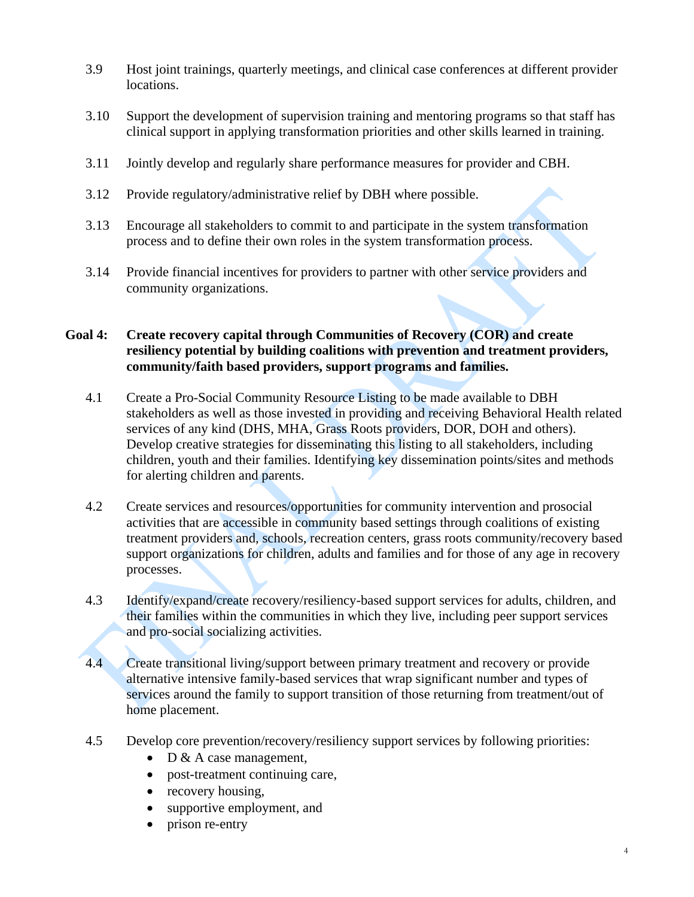- 3.9 Host joint trainings, quarterly meetings, and clinical case conferences at different provider locations.
- 3.10 Support the development of supervision training and mentoring programs so that staff has clinical support in applying transformation priorities and other skills learned in training.
- 3.11 Jointly develop and regularly share performance measures for provider and CBH.
- 3.12 Provide regulatory/administrative relief by DBH where possible.
- 3.13 Encourage all stakeholders to commit to and participate in the system transformation process and to define their own roles in the system transformation process.
- 3.14 Provide financial incentives for providers to partner with other service providers and community organizations.

### **Goal 4: Create recovery capital through Communities of Recovery (COR) and create resiliency potential by building coalitions with prevention and treatment providers, community/faith based providers, support programs and families.**

- 4.1 Create a Pro-Social Community Resource Listing to be made available to DBH stakeholders as well as those invested in providing and receiving Behavioral Health related services of any kind (DHS, MHA, Grass Roots providers, DOR, DOH and others). Develop creative strategies for disseminating this listing to all stakeholders, including children, youth and their families. Identifying key dissemination points/sites and methods for alerting children and parents.
- 4.2 Create services and resources/opportunities for community intervention and prosocial activities that are accessible in community based settings through coalitions of existing treatment providers and, schools, recreation centers, grass roots community/recovery based support organizations for children, adults and families and for those of any age in recovery processes.
- 4.3 Identify/expand/create recovery/resiliency-based support services for adults, children, and their families within the communities in which they live, including peer support services and pro-social socializing activities.
- 4.4 Create transitional living/support between primary treatment and recovery or provide alternative intensive family-based services that wrap significant number and types of services around the family to support transition of those returning from treatment/out of home placement.
- 4.5 Develop core prevention/recovery/resiliency support services by following priorities:
	- $\bullet$  D & A case management,
	- post-treatment continuing care,
	- recovery housing,
	- supportive employment, and
	- prison re-entry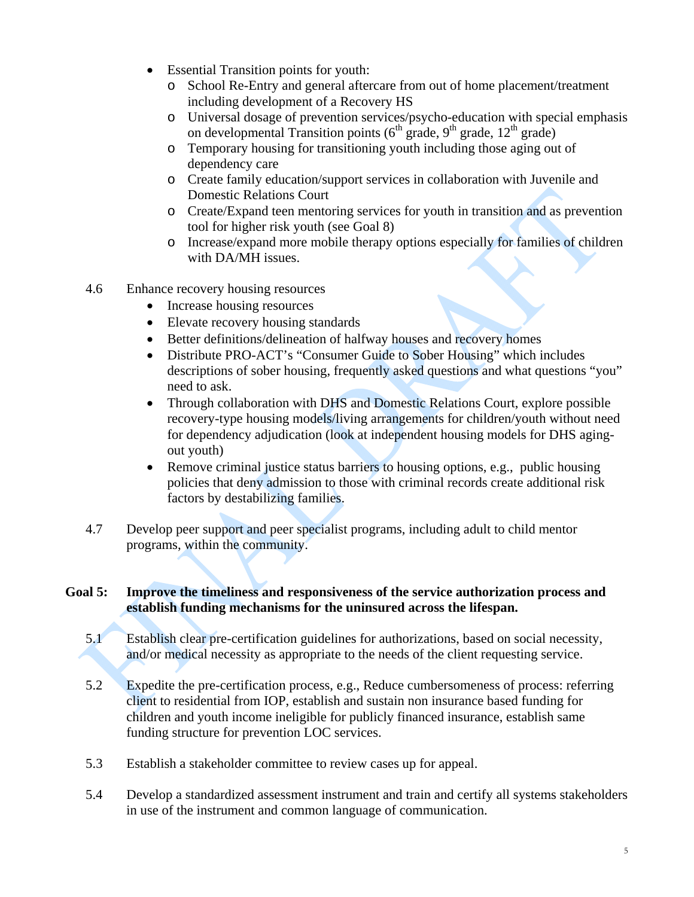- Essential Transition points for youth:
	- o School Re-Entry and general aftercare from out of home placement/treatment including development of a Recovery HS
	- o Universal dosage of prevention services/psycho-education with special emphasis on developmental Transition points  $(6<sup>th</sup> grade, 9<sup>th</sup> grade, 12<sup>th</sup> grade)$
	- o Temporary housing for transitioning youth including those aging out of dependency care
	- o Create family education/support services in collaboration with Juvenile and Domestic Relations Court
	- o Create/Expand teen mentoring services for youth in transition and as prevention tool for higher risk youth (see Goal 8)
	- o Increase/expand more mobile therapy options especially for families of children with DA/MH issues.
- 4.6 Enhance recovery housing resources
	- Increase housing resources
	- Elevate recovery housing standards
	- Better definitions/delineation of halfway houses and recovery homes
	- Distribute PRO-ACT's "Consumer Guide to Sober Housing" which includes descriptions of sober housing, frequently asked questions and what questions "you" need to ask.
	- Through collaboration with DHS and Domestic Relations Court, explore possible recovery-type housing models/living arrangements for children/youth without need for dependency adjudication (look at independent housing models for DHS agingout youth)
	- Remove criminal justice status barriers to housing options, e.g., public housing policies that deny admission to those with criminal records create additional risk factors by destabilizing families.
- 4.7 Develop peer support and peer specialist programs, including adult to child mentor programs, within the community.

## **Goal 5: Improve the timeliness and responsiveness of the service authorization process and establish funding mechanisms for the uninsured across the lifespan.**

- 5.1 Establish clear pre-certification guidelines for authorizations, based on social necessity, and/or medical necessity as appropriate to the needs of the client requesting service.
- 5.2 Expedite the pre-certification process, e.g., Reduce cumbersomeness of process: referring client to residential from IOP, establish and sustain non insurance based funding for children and youth income ineligible for publicly financed insurance, establish same funding structure for prevention LOC services.
- 5.3 Establish a stakeholder committee to review cases up for appeal.
- 5.4Develop a standardized assessment instrument and train and certify all systems stakeholders in use of the instrument and common language of communication.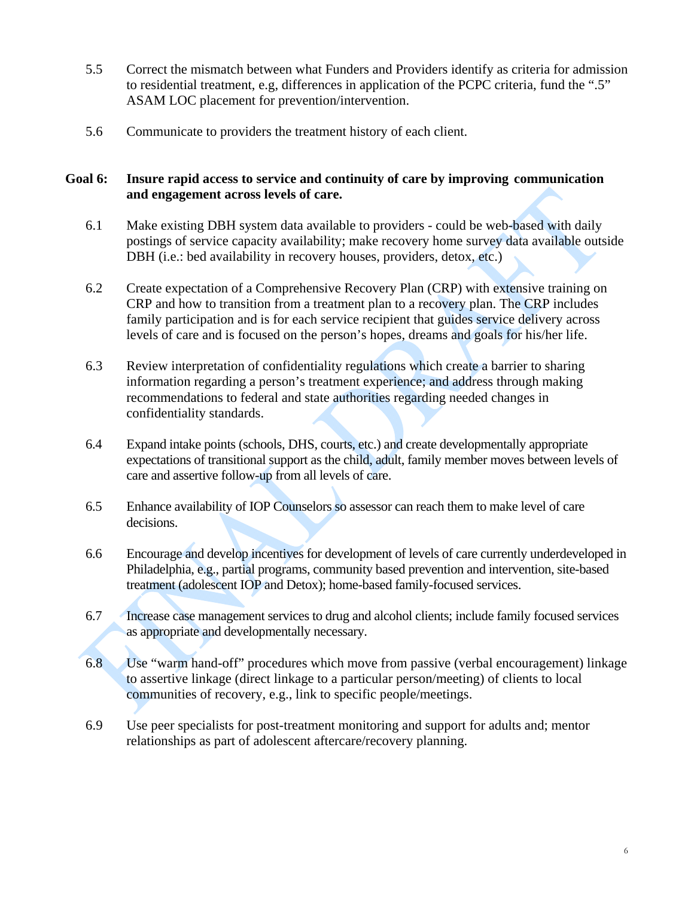- 5.5Correct the mismatch between what Funders and Providers identify as criteria for admission to residential treatment, e.g, differences in application of the PCPC criteria, fund the ".5" ASAM LOC placement for prevention/intervention.
- 5.6 Communicate to providers the treatment history of each client.

### **Goal 6: Insure rapid access to service and continuity of care by improving communication and engagement across levels of care.**

- 6.1 Make existing DBH system data available to providers could be web-based with daily postings of service capacity availability; make recovery home survey data available outside DBH (i.e.: bed availability in recovery houses, providers, detox, etc.)
- 6.2 Create expectation of a Comprehensive Recovery Plan (CRP) with extensive training on CRP and how to transition from a treatment plan to a recovery plan. The CRP includes family participation and is for each service recipient that guides service delivery across levels of care and is focused on the person's hopes, dreams and goals for his/her life.
- 6.3 Review interpretation of confidentiality regulations which create a barrier to sharing information regarding a person's treatment experience; and address through making recommendations to federal and state authorities regarding needed changes in confidentiality standards.
- 6.4 Expand intake points (schools, DHS, courts, etc.) and create developmentally appropriate expectations of transitional support as the child, adult, family member moves between levels of care and assertive follow-up from all levels of care.
- 6.5 Enhance availability of IOP Counselors so assessor can reach them to make level of care decisions.
- 6.6 Encourage and develop incentives for development of levels of care currently underdeveloped in Philadelphia, e.g., partial programs, community based prevention and intervention, site-based treatment (adolescent IOP and Detox); home-based family-focused services.
- 6.7 Increase case management services to drug and alcohol clients; include family focused services as appropriate and developmentally necessary.
- 6.8 Use "warm hand-off" procedures which move from passive (verbal encouragement) linkage to assertive linkage (direct linkage to a particular person/meeting) of clients to local communities of recovery, e.g., link to specific people/meetings.
- 6.9 Use peer specialists for post-treatment monitoring and support for adults and; mentor relationships as part of adolescent aftercare/recovery planning.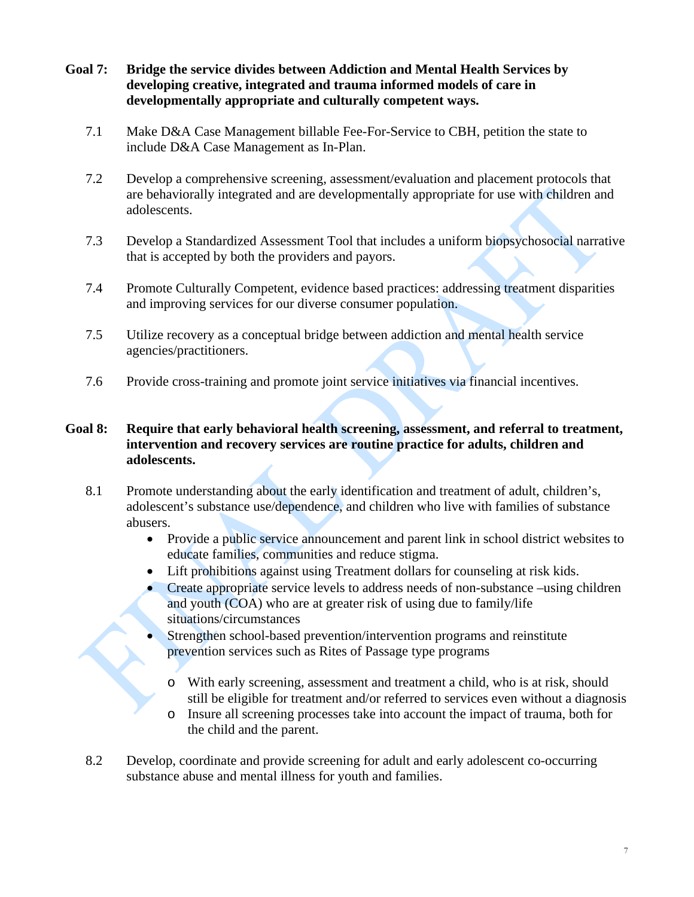- **Goal 7: Bridge the service divides between Addiction and Mental Health Services by developing creative, integrated and trauma informed models of care in developmentally appropriate and culturally competent ways.** 
	- 7.1 Make D&A Case Management billable Fee-For-Service to CBH, petition the state to include D&A Case Management as In-Plan.
	- 7.2 Develop a comprehensive screening, assessment/evaluation and placement protocols that are behaviorally integrated and are developmentally appropriate for use with children and adolescents.
	- 7.3 Develop a Standardized Assessment Tool that includes a uniform biopsychosocial narrative that is accepted by both the providers and payors.
	- 7.4 Promote Culturally Competent, evidence based practices: addressing treatment disparities and improving services for our diverse consumer population.
	- 7.5 Utilize recovery as a conceptual bridge between addiction and mental health service agencies/practitioners.
	- 7.6 Provide cross-training and promote joint service initiatives via financial incentives.

### **Goal 8: Require that early behavioral health screening, assessment, and referral to treatment, intervention and recovery services are routine practice for adults, children and adolescents.**

- 8.1 Promote understanding about the early identification and treatment of adult, children's, adolescent's substance use/dependence, and children who live with families of substance abusers.
	- Provide a public service announcement and parent link in school district websites to educate families, communities and reduce stigma.
	- Lift prohibitions against using Treatment dollars for counseling at risk kids.
	- Create appropriate service levels to address needs of non-substance –using children and youth (COA) who are at greater risk of using due to family/life situations/circumstances
	- Strengthen school-based prevention/intervention programs and reinstitute prevention services such as Rites of Passage type programs
		- o With early screening, assessment and treatment a child, who is at risk, should still be eligible for treatment and/or referred to services even without a diagnosis
		- o Insure all screening processes take into account the impact of trauma, both for the child and the parent.
- 8.2 Develop, coordinate and provide screening for adult and early adolescent co-occurring substance abuse and mental illness for youth and families.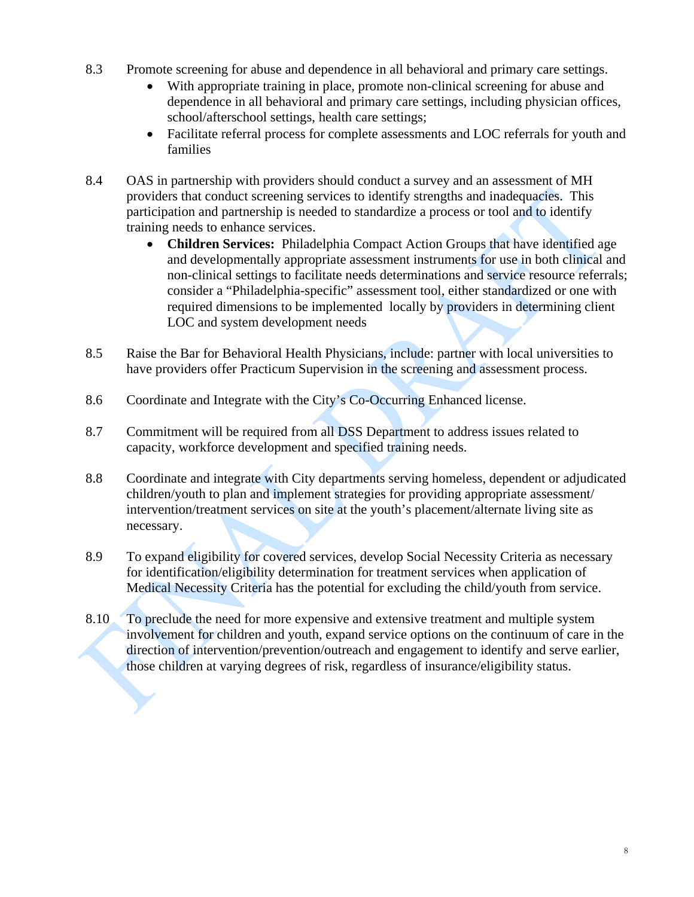- 8.3 Promote screening for abuse and dependence in all behavioral and primary care settings.
	- With appropriate training in place, promote non-clinical screening for abuse and dependence in all behavioral and primary care settings, including physician offices, school/afterschool settings, health care settings;
	- Facilitate referral process for complete assessments and LOC referrals for youth and families
- 8.4 OAS in partnership with providers should conduct a survey and an assessment of MH providers that conduct screening services to identify strengths and inadequacies. This participation and partnership is needed to standardize a process or tool and to identify training needs to enhance services.
	- **Children Services:** Philadelphia Compact Action Groups that have identified age and developmentally appropriate assessment instruments for use in both clinical and non-clinical settings to facilitate needs determinations and service resource referrals; consider a "Philadelphia-specific" assessment tool, either standardized or one with required dimensions to be implemented locally by providers in determining client LOC and system development needs
- 8.5 Raise the Bar for Behavioral Health Physicians, include: partner with local universities to have providers offer Practicum Supervision in the screening and assessment process.
- 8.6 Coordinate and Integrate with the City's Co-Occurring Enhanced license.
- 8.7 Commitment will be required from all DSS Department to address issues related to capacity, workforce development and specified training needs.
- 8.8 Coordinate and integrate with City departments serving homeless, dependent or adjudicated children/youth to plan and implement strategies for providing appropriate assessment/ intervention/treatment services on site at the youth's placement/alternate living site as necessary.
- 8.9 To expand eligibility for covered services, develop Social Necessity Criteria as necessary for identification/eligibility determination for treatment services when application of Medical Necessity Criteria has the potential for excluding the child/youth from service.
- 8.10 To preclude the need for more expensive and extensive treatment and multiple system involvement for children and youth, expand service options on the continuum of care in the direction of intervention/prevention/outreach and engagement to identify and serve earlier, those children at varying degrees of risk, regardless of insurance/eligibility status.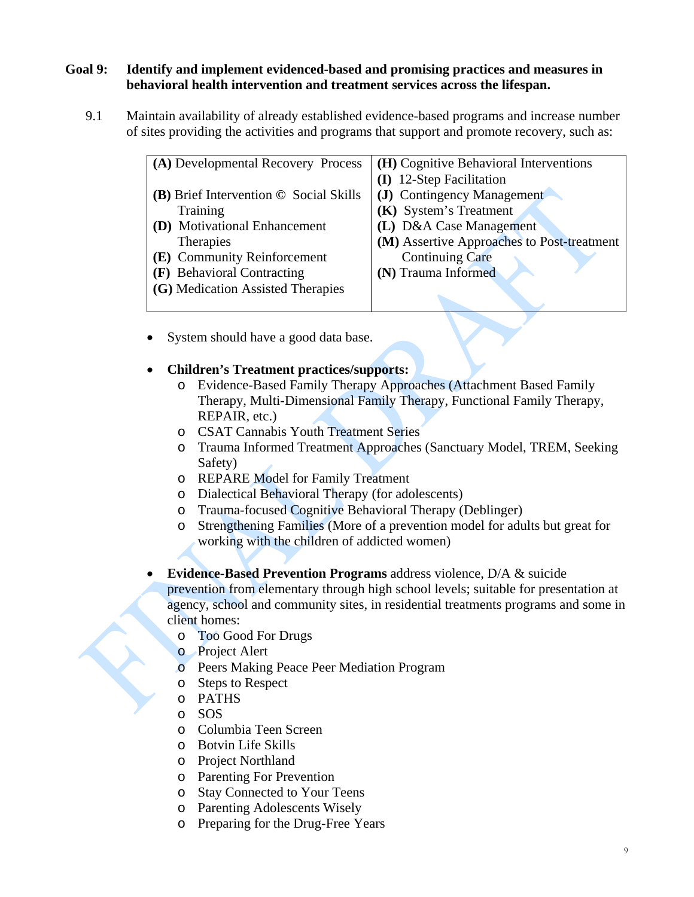### **Goal 9: Identify and implement evidenced-based and promising practices and measures in behavioral health intervention and treatment services across the lifespan.**

9.1Maintain availability of already established evidence-based programs and increase number of sites providing the activities and programs that support and promote recovery, such as:

| (A) Developmental Recovery Process             | (H) Cognitive Behavioral Interventions     |
|------------------------------------------------|--------------------------------------------|
|                                                | (I) 12-Step Facilitation                   |
| $(B)$ Brief Intervention $\odot$ Social Skills | (J) Contingency Management                 |
| Training                                       | (K) System's Treatment                     |
| (D) Motivational Enhancement                   | (L) D&A Case Management                    |
| <b>Therapies</b>                               | (M) Assertive Approaches to Post-treatment |
| (E) Community Reinforcement                    | <b>Continuing Care</b>                     |
| (F) Behavioral Contracting                     | (N) Trauma Informed                        |
| (G) Medication Assisted Therapies              |                                            |
|                                                |                                            |

System should have a good data base.

#### **Children's Treatment practices/supports:**

- o Evidence-Based Family Therapy Approaches (Attachment Based Family Therapy, Multi-Dimensional Family Therapy, Functional Family Therapy, REPAIR, etc.)
- o CSAT Cannabis Youth Treatment Series
- o Trauma Informed Treatment Approaches (Sanctuary Model, TREM, Seeking Safety)
- o REPARE Model for Family Treatment
- o Dialectical Behavioral Therapy (for adolescents)
- o Trauma-focused Cognitive Behavioral Therapy (Deblinger)
- o Strengthening Families (More of a prevention model for adults but great for working with the children of addicted women)
- **Evidence-Based Prevention Programs** address violence, D/A & suicide prevention from elementary through high school levels; suitable for presentation at agency, school and community sites, in residential treatments programs and some in client homes:
	- o Too Good For Drugs
	- o Project Alert
	- o Peers Making Peace Peer Mediation Program
	- o Steps to Respect
	- o PATHS
	- o SOS
	- o Columbia Teen Screen
	- o Botvin Life Skills
	- o Project Northland
	- o Parenting For Prevention
	- o Stay Connected to Your Teens
	- o Parenting Adolescents Wisely
	- o Preparing for the Drug-Free Years